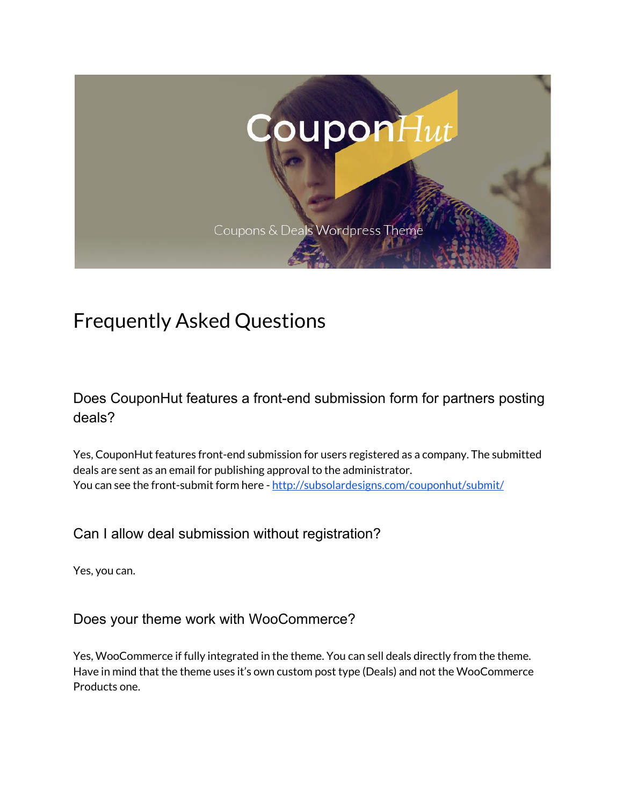

# Frequently Asked Questions

Does CouponHut features a front-end submission form for partners posting deals?

Yes, CouponHut features front-end submission for users registered as a company. The submitted deals are sent as an email for publishing approval to the administrator. You can see the front-submit form here - <http://subsolardesigns.com/couponhut/submit/>

Can I allow deal submission without registration?

Yes, you can.

Does your theme work with WooCommerce?

Yes, WooCommerce if fully integrated in the theme. You can sell deals directly from the theme. Have in mind that the theme uses it's own custom post type (Deals) and not the WooCommerce Products one.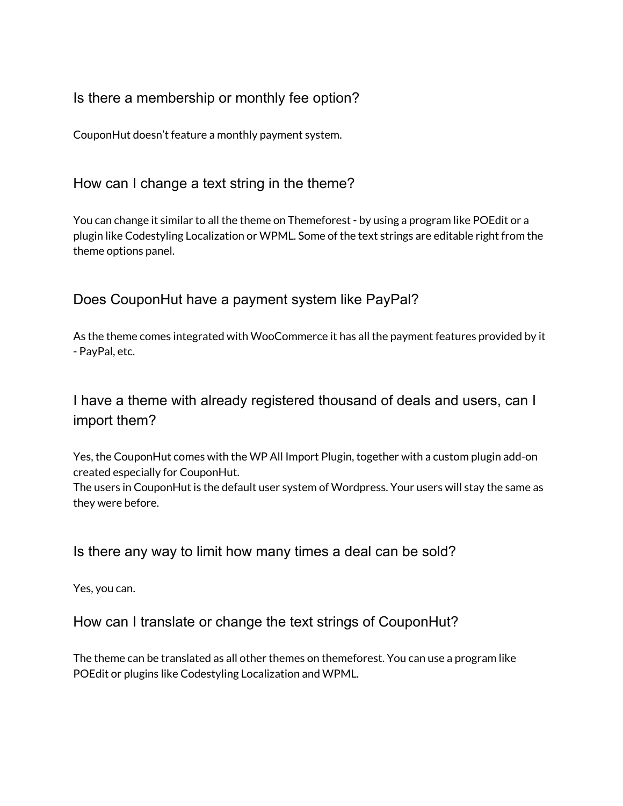#### Is there a membership or monthly fee option?

CouponHut doesn't feature a monthly payment system.

#### How can I change a text string in the theme?

You can change it similar to all the theme on Themeforest - by using a program like POEdit or a plugin like Codestyling Localization or WPML. Some of the text strings are editable right from the theme options panel.

#### Does CouponHut have a payment system like PayPal?

As the theme comes integrated with WooCommerce it has all the payment features provided by it - PayPal, etc.

# I have a theme with already registered thousand of deals and users, can I import them?

Yes, the CouponHut comes with the WP All Import Plugin, together with a custom plugin add-on created especially for CouponHut.

The users in CouponHut is the default user system of Wordpress. Your users will stay the same as they were before.

Is there any way to limit how many times a deal can be sold?

Yes, you can.

How can I translate or change the text strings of CouponHut?

The theme can be translated as all other themes on themeforest. You can use a program like POEdit or plugins like Codestyling Localization and WPML.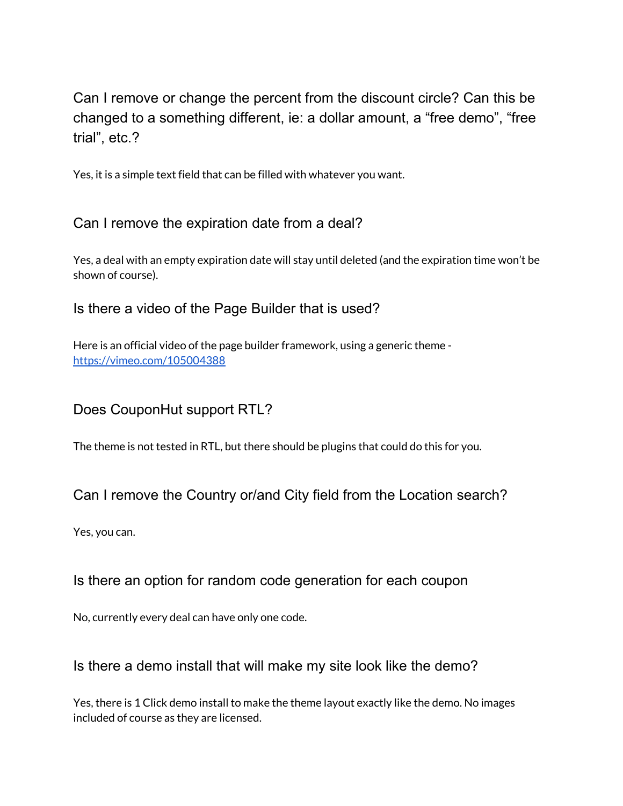Can I remove or change the percent from the discount circle? Can this be changed to a something different, ie: a dollar amount, a "free demo", "free trial", etc.?

Yes, it is a simple text field that can be filled with whatever you want.

### Can I remove the expiration date from a deal?

Yes, a deal with an empty expiration date will stay until deleted (and the expiration time won't be shown of course).

#### Is there a video of the Page Builder that is used?

Here is an official video of the page builder framework, using a generic theme <https://vimeo.com/105004388>

#### Does CouponHut support RTL?

The theme is not tested in RTL, but there should be plugins that could do this for you.

#### Can I remove the Country or/and City field from the Location search?

Yes, you can.

#### Is there an option for random code generation for each coupon

No, currently every deal can have only one code.

#### Is there a demo install that will make my site look like the demo?

Yes, there is 1 Click demo install to make the theme layout exactly like the demo. No images included of course as they are licensed.